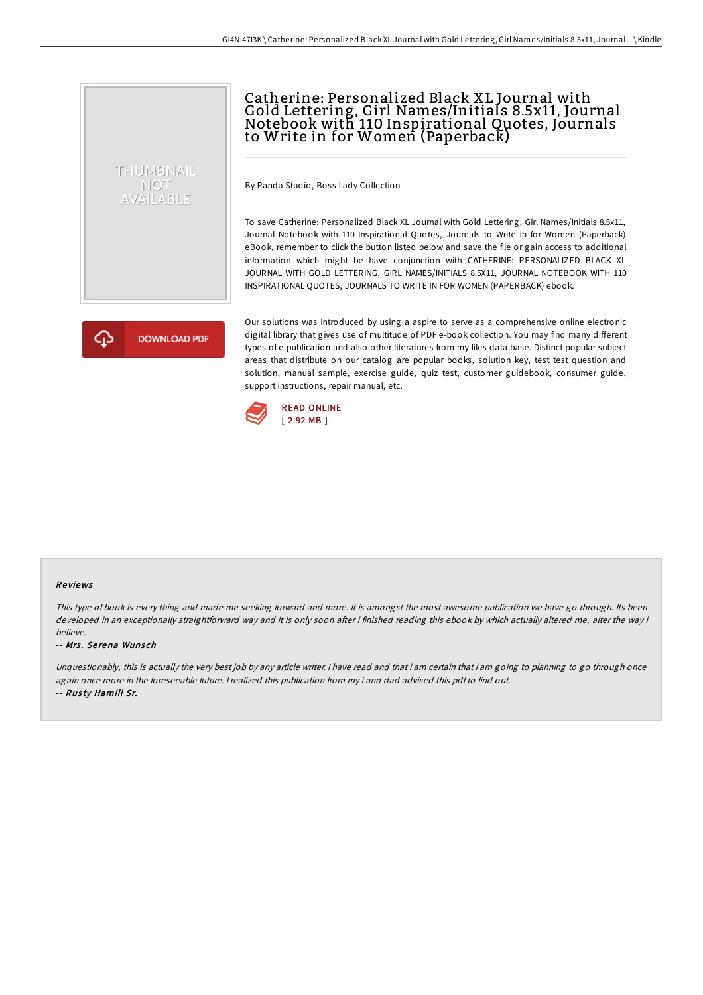## Catherine: Personalized Black XL Journal with Gold Lettering, Girl Names/Initials 8.5x11, Journal Notebook with 110 Inspirational Quotes, Journals to Write in for Women (Paperback)

By Panda Studio, Boss Lady Collection

To save Catherine: Personalized Black XL Journal with Gold Lettering, Girl Names/Initials 8.5x11, Journal Notebook with 110 Inspirational Quotes, Journals to Write in for Women (Paperback) eBook, remember to click the button listed below and save the file or gain access to additional information which might be have conjunction with CATHERINE: PERSONALIZED BLACK XL JOURNAL WITH GOLD LETTERING, GIRL NAMES/INITIALS 8.5X11, JOURNAL NOTEBOOK WITH 110 INSPIRATIONAL QUOTES, JOURNALS TO WRITE IN FOR WOMEN (PAPERBACK) ebook.

**DOWNLOAD PDF** 

THUMBNAIL **NOT** AVAILABLE

> Our solutions was introduced by using a aspire to serve as a comprehensive online electronic digital library that gives use of multitude of PDF e-book collection. You may find many different types of e-publication and also other literatures from my files data base. Distinct popular subject areas that distribute on our catalog are popular books, solution key, test test question and solution, manual sample, exercise guide, quiz test, customer guidebook, consumer guide, support instructions, repair manual, etc.



## Re views

This type of book is every thing and made me seeking forward and more. It is amongst the most awesome publication we have go through. Its been developed in an exceptionally straightforward way and it is only soon after i finished reading this ebook by which actually altered me, alter the way i believe.

## -- Mrs. Serena Wunsch

Unquestionably, this is actually the very best job by any article writer. I have read and that i am certain that i am going to planning to go through once again once more in the foreseeable future. <sup>I</sup> realized this publication from my i and dad advised this pdfto find out. -- Rus ty Hamill Sr.